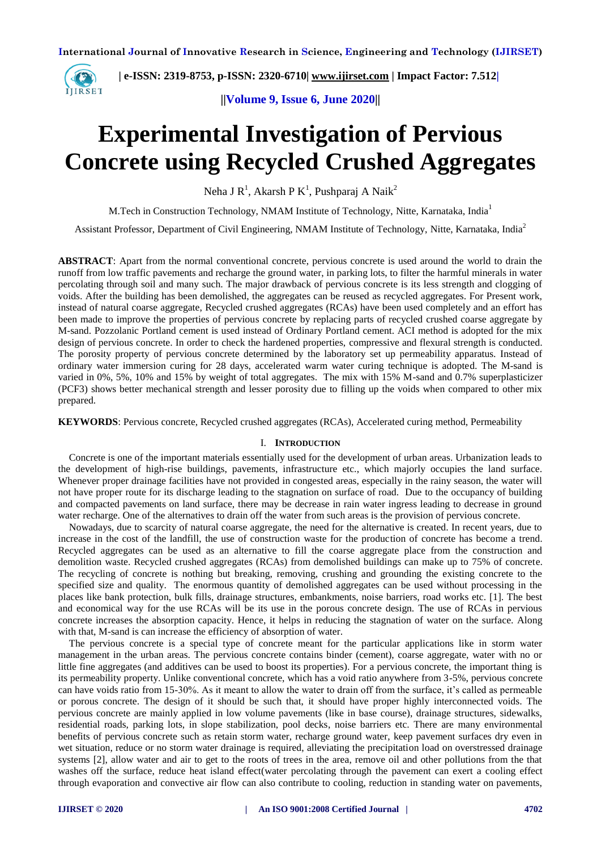

 **| e-ISSN: 2319-8753, p-ISSN: 2320-6710| [www.ijirset.com](http://www.ijirset.com/) | Impact Factor: 7.512|**

**||Volume 9, Issue 6, June 2020||** 

# **Experimental Investigation of Pervious Concrete using Recycled Crushed Aggregates**

Neha J R<sup>1</sup>, Akarsh P K<sup>1</sup>, Pushparaj A Naik<sup>2</sup>

M.Tech in Construction Technology, NMAM Institute of Technology, Nitte, Karnataka, India<sup>1</sup>

Assistant Professor, Department of Civil Engineering, NMAM Institute of Technology, Nitte, Karnataka, India<sup>2</sup>

**ABSTRACT**: Apart from the normal conventional concrete, pervious concrete is used around the world to drain the runoff from low traffic pavements and recharge the ground water, in parking lots, to filter the harmful minerals in water percolating through soil and many such. The major drawback of pervious concrete is its less strength and clogging of voids. After the building has been demolished, the aggregates can be reused as recycled aggregates. For Present work, instead of natural coarse aggregate, Recycled crushed aggregates (RCAs) have been used completely and an effort has been made to improve the properties of pervious concrete by replacing parts of recycled crushed coarse aggregate by M-sand. Pozzolanic Portland cement is used instead of Ordinary Portland cement. ACI method is adopted for the mix design of pervious concrete. In order to check the hardened properties, compressive and flexural strength is conducted. The porosity property of pervious concrete determined by the laboratory set up permeability apparatus. Instead of ordinary water immersion curing for 28 days, accelerated warm water curing technique is adopted. The M-sand is varied in 0%, 5%, 10% and 15% by weight of total aggregates. The mix with 15% M-sand and 0.7% superplasticizer (PCF3) shows better mechanical strength and lesser porosity due to filling up the voids when compared to other mix prepared.

**KEYWORDS**: Pervious concrete, Recycled crushed aggregates (RCAs), Accelerated curing method, Permeability

#### I. **INTRODUCTION**

Concrete is one of the important materials essentially used for the development of urban areas. Urbanization leads to the development of high-rise buildings, pavements, infrastructure etc., which majorly occupies the land surface. Whenever proper drainage facilities have not provided in congested areas, especially in the rainy season, the water will not have proper route for its discharge leading to the stagnation on surface of road. Due to the occupancy of building and compacted pavements on land surface, there may be decrease in rain water ingress leading to decrease in ground water recharge. One of the alternatives to drain off the water from such areas is the provision of pervious concrete.

Nowadays, due to scarcity of natural coarse aggregate, the need for the alternative is created. In recent years, due to increase in the cost of the landfill, the use of construction waste for the production of concrete has become a trend. Recycled aggregates can be used as an alternative to fill the coarse aggregate place from the construction and demolition waste. Recycled crushed aggregates (RCAs) from demolished buildings can make up to 75% of concrete. The recycling of concrete is nothing but breaking, removing, crushing and grounding the existing concrete to the specified size and quality. The enormous quantity of demolished aggregates can be used without processing in the places like bank protection, bulk fills, drainage structures, embankments, noise barriers, road works etc. [1]. The best and economical way for the use RCAs will be its use in the porous concrete design. The use of RCAs in pervious concrete increases the absorption capacity. Hence, it helps in reducing the stagnation of water on the surface. Along with that, M-sand is can increase the efficiency of absorption of water.

The pervious concrete is a special type of concrete meant for the particular applications like in storm water management in the urban areas. The pervious concrete contains binder (cement), coarse aggregate, water with no or little fine aggregates (and additives can be used to boost its properties). For a pervious concrete, the important thing is its permeability property. Unlike conventional concrete, which has a void ratio anywhere from 3-5%, pervious concrete can have voids ratio from 15-30%. As it meant to allow the water to drain off from the surface, it's called as permeable or porous concrete. The design of it should be such that, it should have proper highly interconnected voids. The pervious concrete are mainly applied in low volume pavements (like in base course), drainage structures, sidewalks, residential roads, parking lots, in slope stabilization, pool decks, noise barriers etc. There are many environmental benefits of pervious concrete such as retain storm water, recharge ground water, keep pavement surfaces dry even in wet situation, reduce or no storm water drainage is required, alleviating the precipitation load on overstressed drainage systems [2], allow water and air to get to the roots of trees in the area, remove oil and other pollutions from the that washes off the surface, reduce heat island effect(water percolating through the pavement can exert a cooling effect through evaporation and convective air flow can also contribute to cooling, reduction in standing water on pavements,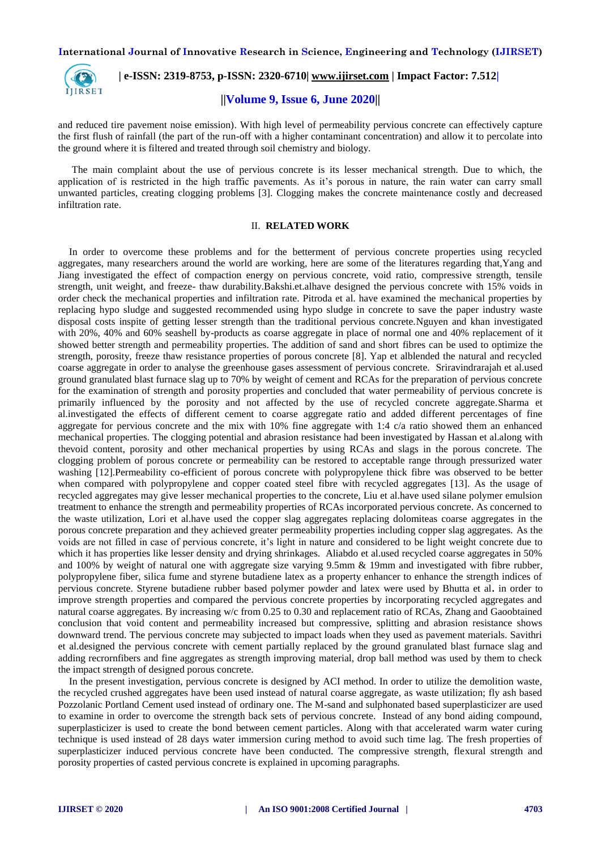

 **| e-ISSN: 2319-8753, p-ISSN: 2320-6710| [www.ijirset.com](http://www.ijirset.com/) | Impact Factor: 7.512|**

#### **||Volume 9, Issue 6, June 2020||**

and reduced tire pavement noise emission). With high level of permeability pervious concrete can effectively capture the first flush of rainfall (the part of the run-off with a higher contaminant concentration) and allow it to percolate into the ground where it is filtered and treated through soil chemistry and biology.

The main complaint about the use of pervious concrete is its lesser mechanical strength. Due to which, the application of is restricted in the high traffic pavements. As it's porous in nature, the rain water can carry small unwanted particles, creating clogging problems [3]. Clogging makes the concrete maintenance costly and decreased infiltration rate.

#### II. **RELATED WORK**

In order to overcome these problems and for the betterment of pervious concrete properties using recycled aggregates, many researchers around the world are working, here are some of the literatures regarding that,Yang and Jiang investigated the effect of compaction energy on pervious concrete, void ratio, compressive strength, tensile strength, unit weight, and freeze- thaw durability.Bakshi.et.alhave designed the pervious concrete with 15% voids in order check the mechanical properties and infiltration rate. Pitroda et al. have examined the mechanical properties by replacing hypo sludge and suggested recommended using hypo sludge in concrete to save the paper industry waste disposal costs inspite of getting lesser strength than the traditional pervious concrete.Nguyen and khan investigated with 20%, 40% and 60% seashell by-products as coarse aggregate in place of normal one and 40% replacement of it showed better strength and permeability properties. The addition of sand and short fibres can be used to optimize the strength, porosity, freeze thaw resistance properties of porous concrete [8]. Yap et alblended the natural and recycled coarse aggregate in order to analyse the greenhouse gases assessment of pervious concrete. Sriravindrarajah et al.used ground granulated blast furnace slag up to 70% by weight of cement and RCAs for the preparation of pervious concrete for the examination of strength and porosity properties and concluded that water permeability of pervious concrete is primarily influenced by the porosity and not affected by the use of recycled concrete aggregate.Sharma et al.investigated the effects of different cement to coarse aggregate ratio and added different percentages of fine aggregate for pervious concrete and the mix with 10% fine aggregate with 1:4 c/a ratio showed them an enhanced mechanical properties. The clogging potential and abrasion resistance had been investigated by Hassan et al.along with thevoid content, porosity and other mechanical properties by using RCAs and slags in the porous concrete. The clogging problem of porous concrete or permeability can be restored to acceptable range through pressurized water washing [12].Permeability co-efficient of porous concrete with polypropylene thick fibre was observed to be better when compared with polypropylene and copper coated steel fibre with recycled aggregates [13]. As the usage of recycled aggregates may give lesser mechanical properties to the concrete, Liu et al.have used silane polymer emulsion treatment to enhance the strength and permeability properties of RCAs incorporated pervious concrete. As concerned to the waste utilization, Lori et al.have used the copper slag aggregates replacing dolomiteas coarse aggregates in the porous concrete preparation and they achieved greater permeability properties including copper slag aggregates. As the voids are not filled in case of pervious concrete, it's light in nature and considered to be light weight concrete due to which it has properties like lesser density and drying shrinkages. Aliabdo et al.used recycled coarse aggregates in 50% and 100% by weight of natural one with aggregate size varying 9.5mm & 19mm and investigated with fibre rubber, polypropylene fiber, silica fume and styrene butadiene latex as a property enhancer to enhance the strength indices of pervious concrete. Styrene butadiene rubber based polymer powder and latex were used by Bhutta et al**.** in order to improve strength properties and compared the pervious concrete properties by incorporating recycled aggregates and natural coarse aggregates. By increasing w/c from 0.25 to 0.30 and replacement ratio of RCAs, Zhang and Gaoobtained conclusion that void content and permeability increased but compressive, splitting and abrasion resistance shows downward trend. The pervious concrete may subjected to impact loads when they used as pavement materials. Savithri et al.designed the pervious concrete with cement partially replaced by the ground granulated blast furnace slag and adding recrornfibers and fine aggregates as strength improving material, drop ball method was used by them to check the impact strength of designed porous concrete.

In the present investigation, pervious concrete is designed by ACI method. In order to utilize the demolition waste, the recycled crushed aggregates have been used instead of natural coarse aggregate, as waste utilization; fly ash based Pozzolanic Portland Cement used instead of ordinary one. The M-sand and sulphonated based superplasticizer are used to examine in order to overcome the strength back sets of pervious concrete. Instead of any bond aiding compound, superplasticizer is used to create the bond between cement particles. Along with that accelerated warm water curing technique is used instead of 28 days water immersion curing method to avoid such time lag. The fresh properties of superplasticizer induced pervious concrete have been conducted. The compressive strength, flexural strength and porosity properties of casted pervious concrete is explained in upcoming paragraphs.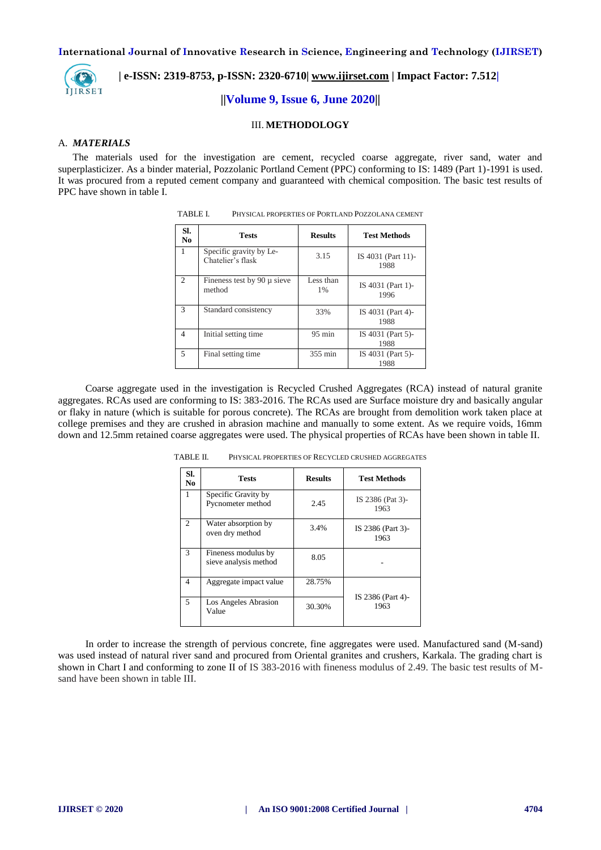

 **| e-ISSN: 2319-8753, p-ISSN: 2320-6710| [www.ijirset.com](http://www.ijirset.com/) | Impact Factor: 7.512|**

**||Volume 9, Issue 6, June 2020||** 

#### III. **METHODOLOGY**

#### A. *MATERIALS*

The materials used for the investigation are cement, recycled coarse aggregate, river sand, water and superplasticizer. As a binder material, Pozzolanic Portland Cement (PPC) conforming to IS: 1489 (Part 1)-1991 is used. It was procured from a reputed cement company and guaranteed with chemical composition. The basic test results of PPC have shown in table I.

| SI.<br>No      | <b>Tests</b>                                 | <b>Results</b>                     | <b>Test Methods</b>       |
|----------------|----------------------------------------------|------------------------------------|---------------------------|
| 1              | Specific gravity by Le-<br>Chatelier's flask | 3.15<br>IS 4031 (Part 11)-<br>1988 |                           |
| $\mathfrak{D}$ | Fineness test by 90 $\mu$ sieve<br>method    | Less than<br>1%                    | IS 4031 (Part 1)-<br>1996 |
| 3              | Standard consistency                         | 33%                                | IS 4031 (Part 4)-<br>1988 |
| 4              | Initial setting time.                        | $95 \text{ min}$                   | IS 4031 (Part 5)-<br>1988 |
| 5              | Final setting time                           | 355 min                            | IS 4031 (Part 5)-<br>1988 |

| TABLE I. | PHYSICAL PROPERTIES OF PORTLAND POZZOLANA CEMENT |
|----------|--------------------------------------------------|
|          |                                                  |

Coarse aggregate used in the investigation is Recycled Crushed Aggregates (RCA) instead of natural granite aggregates. RCAs used are conforming to IS: 383-2016. The RCAs used are Surface moisture dry and basically angular or flaky in nature (which is suitable for porous concrete). The RCAs are brought from demolition work taken place at college premises and they are crushed in abrasion machine and manually to some extent. As we require voids, 16mm down and 12.5mm retained coarse aggregates were used. The physical properties of RCAs have been shown in table II.

| SI.<br>No.   | <b>Results</b><br><b>Tests</b>               |        | <b>Test Methods</b>       |  |  |
|--------------|----------------------------------------------|--------|---------------------------|--|--|
| $\mathbf{1}$ | Specific Gravity by<br>Pycnometer method     | 2.45   | IS 2386 (Pat 3)-<br>1963  |  |  |
| 2            | Water absorption by<br>oven dry method       | 3.4%   | IS 2386 (Part 3)-<br>1963 |  |  |
| 3            | Fineness modulus by<br>sieve analysis method | 8.05   |                           |  |  |
| 4            | Aggregate impact value                       | 28.75% | IS 2386 (Part 4)-<br>1963 |  |  |
| 5            | Los Angeles Abrasion<br>Value                | 30.30% |                           |  |  |

TABLE II. PHYSICAL PROPERTIES OF RECYCLED CRUSHED AGGREGATES

In order to increase the strength of pervious concrete, fine aggregates were used. Manufactured sand (M-sand) was used instead of natural river sand and procured from Oriental granites and crushers, Karkala. The grading chart is shown in Chart I and conforming to zone II of IS 383-2016 with fineness modulus of 2.49. The basic test results of Msand have been shown in table III.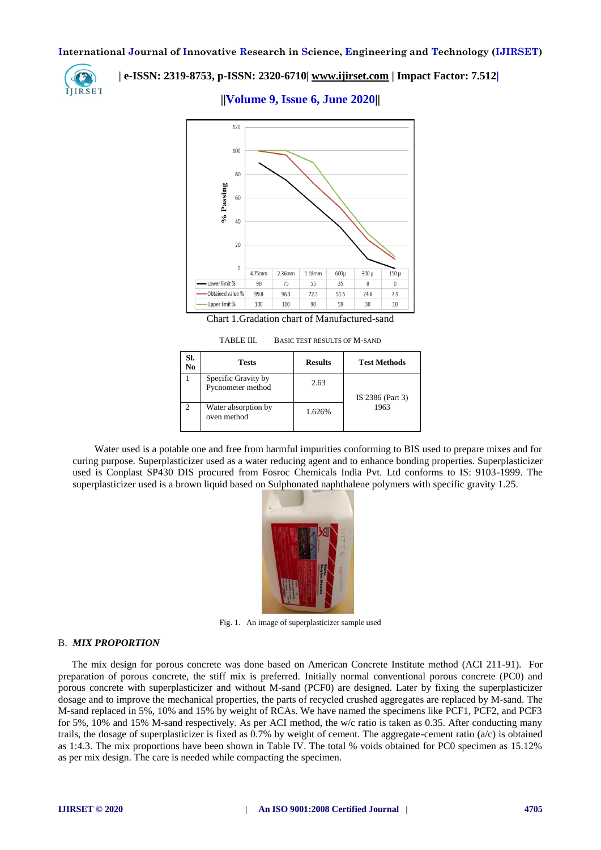

# **| e-ISSN: 2319-8753, p-ISSN: 2320-6710| [www.ijirset.com](http://www.ijirset.com/) | Impact Factor: 7.512|**

# **||Volume 9, Issue 6, June 2020||**



TABLE III. BASIC TEST RESULTS OF M-SAND

| SI.<br>N <sub>0</sub> | <b>Tests</b>                             | <b>Results</b> | <b>Test Methods</b>      |  |
|-----------------------|------------------------------------------|----------------|--------------------------|--|
|                       | Specific Gravity by<br>Pycnometer method | 2.63           | IS 2386 (Part 3)<br>1963 |  |
| $\mathcal{P}$         | Water absorption by<br>oven method       | 1.626%         |                          |  |

Water used is a potable one and free from harmful impurities conforming to BIS used to prepare mixes and for curing purpose. Superplasticizer used as a water reducing agent and to enhance bonding properties. Superplasticizer used is Conplast SP430 DIS procured from Fosroc Chemicals India Pvt. Ltd conforms to IS: 9103-1999. The superplasticizer used is a brown liquid based on Sulphonated naphthalene polymers with specific gravity 1.25.



Fig. 1. An image of superplasticizer sample used

#### B. *MIX PROPORTION*

The mix design for porous concrete was done based on American Concrete Institute method (ACI 211-91). For preparation of porous concrete, the stiff mix is preferred. Initially normal conventional porous concrete (PC0) and porous concrete with superplasticizer and without M-sand (PCF0) are designed. Later by fixing the superplasticizer dosage and to improve the mechanical properties, the parts of recycled crushed aggregates are replaced by M-sand. The M-sand replaced in 5%, 10% and 15% by weight of RCAs. We have named the specimens like PCF1, PCF2, and PCF3 for 5%, 10% and 15% M-sand respectively. As per ACI method, the w/c ratio is taken as 0.35. After conducting many trails, the dosage of superplasticizer is fixed as  $0.7\%$  by weight of cement. The aggregate-cement ratio (a/c) is obtained as 1:4.3. The mix proportions have been shown in Table IV. The total % voids obtained for PC0 specimen as 15.12% as per mix design. The care is needed while compacting the specimen.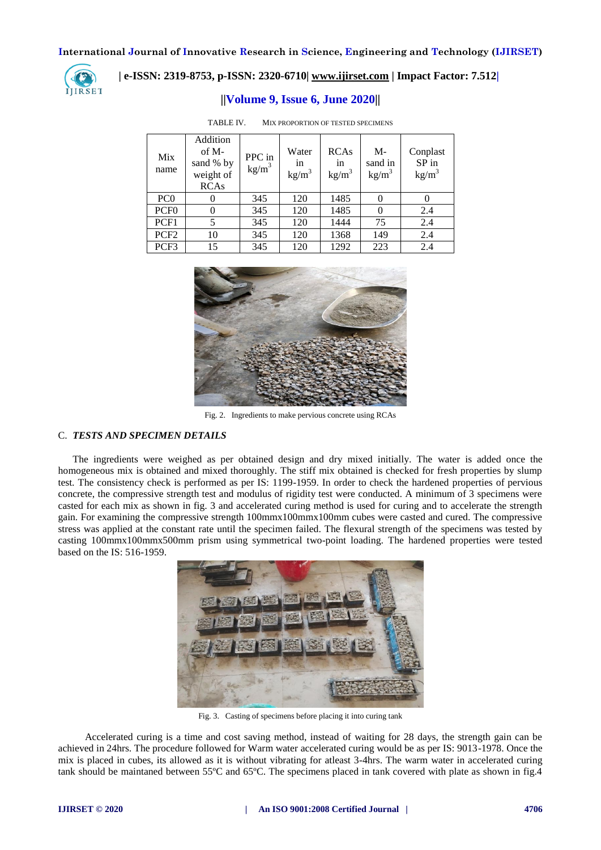

# **| e-ISSN: 2319-8753, p-ISSN: 2320-6710| [www.ijirset.com](http://www.ijirset.com/) | Impact Factor: 7.512|**

# **||Volume 9, Issue 6, June 2020||**

| Mix<br>name      | Addition<br>$of M-$<br>sand % by<br>weight of<br><b>RCAs</b> | PPC in<br>$\text{kg/m}^3$ | Water<br>in<br>kg/m <sup>3</sup> | <b>RCAs</b><br>in<br>$kg/m^3$ | M-<br>sand in<br>kg/m <sup>3</sup> | Conplast<br>$SP$ in<br>kg/m <sup>3</sup> |
|------------------|--------------------------------------------------------------|---------------------------|----------------------------------|-------------------------------|------------------------------------|------------------------------------------|
| PC <sub>0</sub>  |                                                              | 345                       | 120                              | 1485                          | $\theta$                           |                                          |
| PCF <sub>0</sub> |                                                              | 345                       | 120                              | 1485                          | 0                                  | 2.4                                      |
| PCF1             | 5                                                            | 345                       | 120                              | 1444                          | 75                                 | 2.4                                      |
| PCF <sub>2</sub> | 10                                                           | 345                       | 120                              | 1368                          | 149                                | 2.4                                      |
| PCF3             | 15                                                           | 345                       | 120                              | 1292                          | 223                                | 2.4                                      |

TABLE IV. MIX PROPORTION OF TESTED SPECIMENS



Fig. 2. Ingredients to make pervious concrete using RCAs

# C. *TESTS AND SPECIMEN DETAILS*

The ingredients were weighed as per obtained design and dry mixed initially. The water is added once the homogeneous mix is obtained and mixed thoroughly. The stiff mix obtained is checked for fresh properties by slump test. The consistency check is performed as per IS: 1199-1959. In order to check the hardened properties of pervious concrete, the compressive strength test and modulus of rigidity test were conducted. A minimum of 3 specimens were casted for each mix as shown in fig. 3 and accelerated curing method is used for curing and to accelerate the strength gain. For examining the compressive strength 100mmx100mmx100mm cubes were casted and cured. The compressive stress was applied at the constant rate until the specimen failed. The flexural strength of the specimens was tested by casting 100mmx100mmx500mm prism using symmetrical two-point loading. The hardened properties were tested based on the IS: 516-1959.



Fig. 3. Casting of specimens before placing it into curing tank

Accelerated curing is a time and cost saving method, instead of waiting for 28 days, the strength gain can be achieved in 24hrs. The procedure followed for Warm water accelerated curing would be as per IS: 9013-1978. Once the mix is placed in cubes, its allowed as it is without vibrating for atleast 3-4hrs. The warm water in accelerated curing tank should be maintaned between 55ºC and 65ºC. The specimens placed in tank covered with plate as shown in fig.4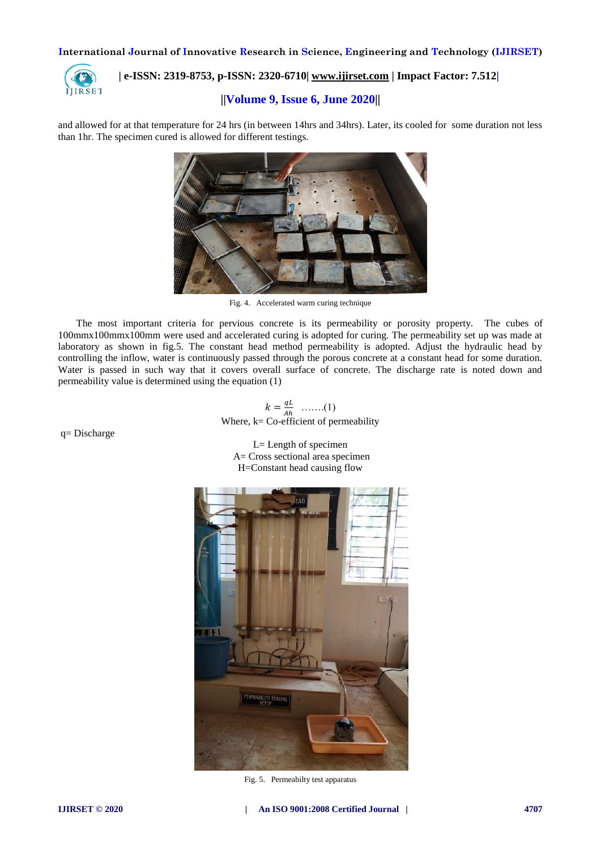

# **| e-ISSN: 2319-8753, p-ISSN: 2320-6710| [www.ijirset.com](http://www.ijirset.com/) | Impact Factor: 7.512|**

# **||Volume 9, Issue 6, June 2020||**

and allowed for at that temperature for 24 hrs (in between 14hrs and 34hrs). Later, its cooled for some duration not less than 1hr. The specimen cured is allowed for different testings.



Fig. 4. Accelerated warm curing technique

The most important criteria for pervious concrete is its permeability or porosity property. The cubes of 100mmx100mmx100mm were used and accelerated curing is adopted for curing. The permeability set up was made at laboratory as shown in fig.5. The constant head method permeability is adopted. Adjust the hydraulic head by controlling the inflow, water is continuously passed through the porous concrete at a constant head for some duration. Water is passed in such way that it covers overall surface of concrete. The discharge rate is noted down and permeability value is determined using the equation (1)

$$
k = \frac{qL}{Ah}
$$
 ......(1)  
Where, k= Co-efficient of permeability

L= Length of specimen A= Cross sectional area specimen

H=Constant head causing flow



Fig. 5. Permeabilty test apparatus

q= Discharge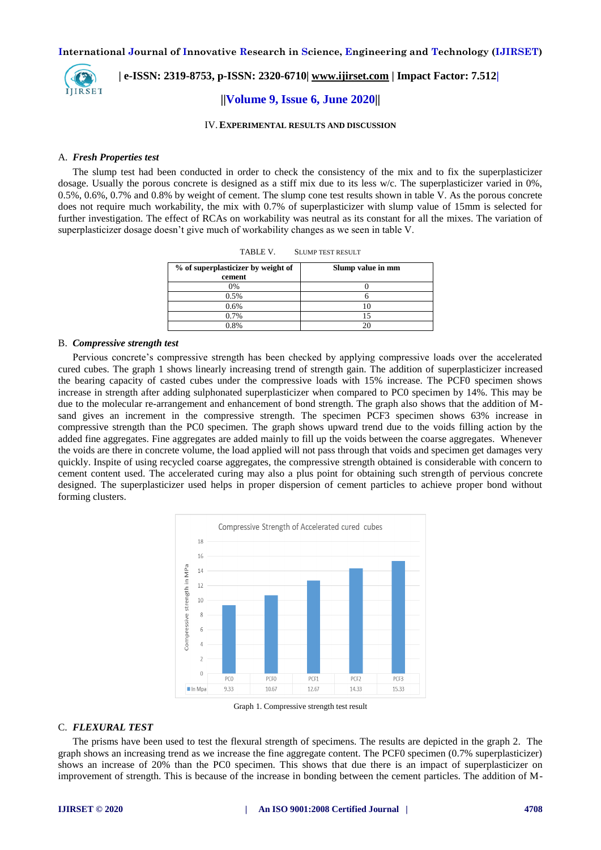

 **| e-ISSN: 2319-8753, p-ISSN: 2320-6710| [www.ijirset.com](http://www.ijirset.com/) | Impact Factor: 7.512|**

#### **||Volume 9, Issue 6, June 2020||**

IV.**EXPERIMENTAL RESULTS AND DISCUSSION**

#### A. *Fresh Properties test*

The slump test had been conducted in order to check the consistency of the mix and to fix the superplasticizer dosage. Usually the porous concrete is designed as a stiff mix due to its less w/c. The superplasticizer varied in 0%, 0.5%, 0.6%, 0.7% and 0.8% by weight of cement. The slump cone test results shown in table V. As the porous concrete does not require much workability, the mix with 0.7% of superplasticizer with slump value of 15mm is selected for further investigation. The effect of RCAs on workability was neutral as its constant for all the mixes. The variation of superplasticizer dosage doesn't give much of workability changes as we seen in table V.

| % of superplasticizer by weight of<br>cement | Slump value in mm |
|----------------------------------------------|-------------------|
| 0%                                           |                   |
| 0.5%                                         |                   |
| 0.6%                                         |                   |
| 0.7%                                         |                   |
| 0.8%                                         |                   |

TABLE V. SLUMP TEST RESULT

#### B. *Compressive strength test*

Pervious concrete's compressive strength has been checked by applying compressive loads over the accelerated cured cubes. The graph 1 shows linearly increasing trend of strength gain. The addition of superplasticizer increased the bearing capacity of casted cubes under the compressive loads with 15% increase. The PCF0 specimen shows increase in strength after adding sulphonated superplasticizer when compared to PC0 specimen by 14%. This may be due to the molecular re-arrangement and enhancement of bond strength. The graph also shows that the addition of Msand gives an increment in the compressive strength. The specimen PCF3 specimen shows 63% increase in compressive strength than the PC0 specimen. The graph shows upward trend due to the voids filling action by the added fine aggregates. Fine aggregates are added mainly to fill up the voids between the coarse aggregates. Whenever the voids are there in concrete volume, the load applied will not pass through that voids and specimen get damages very quickly. Inspite of using recycled coarse aggregates, the compressive strength obtained is considerable with concern to cement content used. The accelerated curing may also a plus point for obtaining such strength of pervious concrete designed. The superplasticizer used helps in proper dispersion of cement particles to achieve proper bond without forming clusters.



Graph 1. Compressive strength test result

#### C. *FLEXURAL TEST*

The prisms have been used to test the flexural strength of specimens. The results are depicted in the graph 2. The graph shows an increasing trend as we increase the fine aggregate content. The PCF0 specimen (0.7% superplasticizer) shows an increase of 20% than the PC0 specimen. This shows that due there is an impact of superplasticizer on improvement of strength. This is because of the increase in bonding between the cement particles. The addition of M-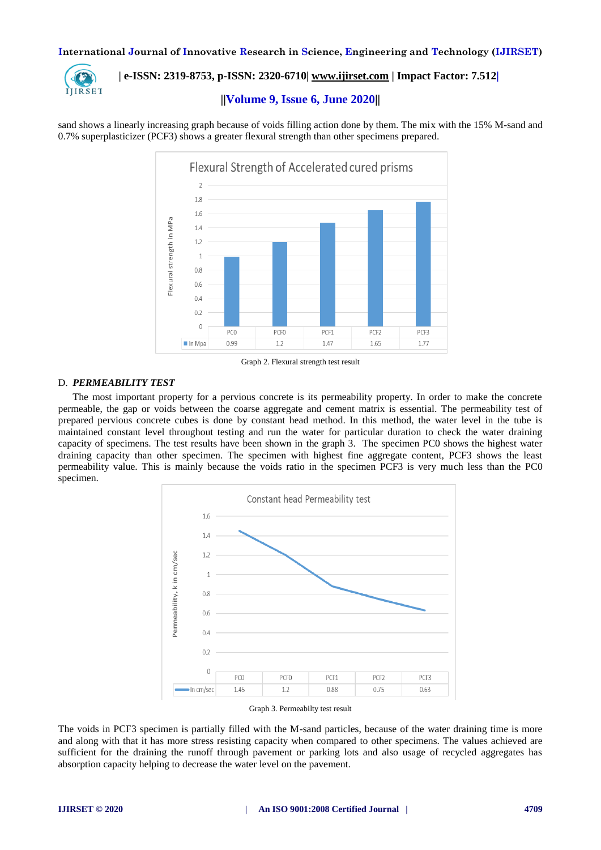

# **| e-ISSN: 2319-8753, p-ISSN: 2320-6710| [www.ijirset.com](http://www.ijirset.com/) | Impact Factor: 7.512|**

## **||Volume 9, Issue 6, June 2020||**

sand shows a linearly increasing graph because of voids filling action done by them. The mix with the 15% M-sand and 0.7% superplasticizer (PCF3) shows a greater flexural strength than other specimens prepared.



Graph 2. Flexural strength test result

#### D. *PERMEABILITY TEST*

The most important property for a pervious concrete is its permeability property. In order to make the concrete permeable, the gap or voids between the coarse aggregate and cement matrix is essential. The permeability test of prepared pervious concrete cubes is done by constant head method. In this method, the water level in the tube is maintained constant level throughout testing and run the water for particular duration to check the water draining capacity of specimens. The test results have been shown in the graph 3. The specimen PC0 shows the highest water draining capacity than other specimen. The specimen with highest fine aggregate content, PCF3 shows the least permeability value. This is mainly because the voids ratio in the specimen PCF3 is very much less than the PC0 specimen.



Graph 3. Permeabilty test result

The voids in PCF3 specimen is partially filled with the M-sand particles, because of the water draining time is more and along with that it has more stress resisting capacity when compared to other specimens. The values achieved are sufficient for the draining the runoff through pavement or parking lots and also usage of recycled aggregates has absorption capacity helping to decrease the water level on the pavement.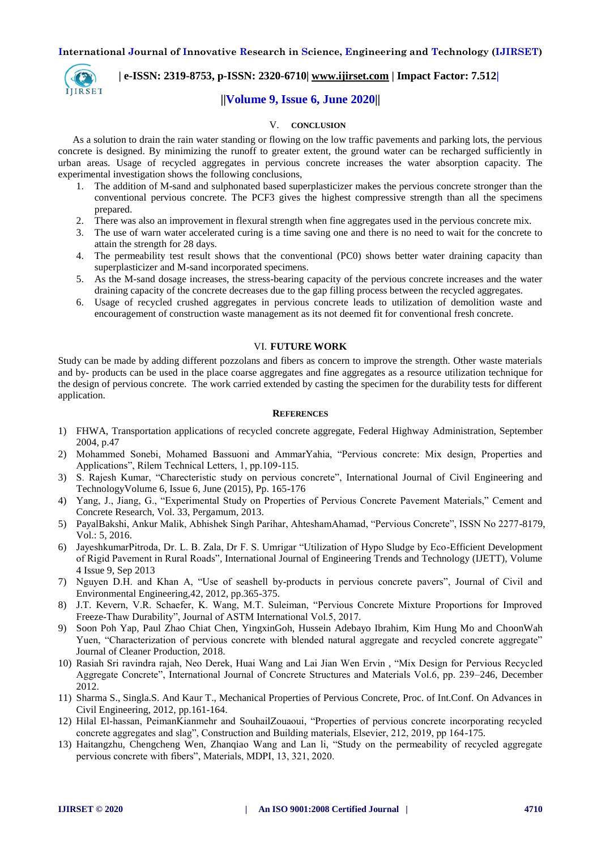

# **| e-ISSN: 2319-8753, p-ISSN: 2320-6710| [www.ijirset.com](http://www.ijirset.com/) | Impact Factor: 7.512|**

# **||Volume 9, Issue 6, June 2020||**

# V. **CONCLUSION**

As a solution to drain the rain water standing or flowing on the low traffic pavements and parking lots, the pervious concrete is designed. By minimizing the runoff to greater extent, the ground water can be recharged sufficiently in urban areas. Usage of recycled aggregates in pervious concrete increases the water absorption capacity. The experimental investigation shows the following conclusions,

- 1. The addition of M-sand and sulphonated based superplasticizer makes the pervious concrete stronger than the conventional pervious concrete. The PCF3 gives the highest compressive strength than all the specimens prepared.
- 2. There was also an improvement in flexural strength when fine aggregates used in the pervious concrete mix.
- 3. The use of warn water accelerated curing is a time saving one and there is no need to wait for the concrete to attain the strength for 28 days.
- 4. The permeability test result shows that the conventional (PC0) shows better water draining capacity than superplasticizer and M-sand incorporated specimens.
- 5. As the M-sand dosage increases, the stress-bearing capacity of the pervious concrete increases and the water draining capacity of the concrete decreases due to the gap filling process between the recycled aggregates.
- 6. Usage of recycled crushed aggregates in pervious concrete leads to utilization of demolition waste and encouragement of construction waste management as its not deemed fit for conventional fresh concrete.

#### VI. **FUTURE WORK**

Study can be made by adding different pozzolans and fibers as concern to improve the strength. Other waste materials and by- products can be used in the place coarse aggregates and fine aggregates as a resource utilization technique for the design of pervious concrete. The work carried extended by casting the specimen for the durability tests for different application.

#### **REFERENCES**

- 1) FHWA, Transportation applications of recycled concrete aggregate, Federal Highway Administration, September 2004, p.47
- 2) Mohammed Sonebi, Mohamed Bassuoni and AmmarYahia, "Pervious concrete: Mix design, Properties and Applications", Rilem Technical Letters, 1, pp.109-115.
- 3) S. Rajesh Kumar, "Charecteristic study on pervious concrete", International Journal of Civil Engineering and TechnologyVolume 6, Issue 6, June (2015), Pp. 165-176
- 4) Yang, J., Jiang, G., "Experimental Study on Properties of Pervious Concrete Pavement Materials," Cement and Concrete Research, Vol. 33, Pergamum, 2013.
- 5) PayalBakshi, Ankur Malik, Abhishek Singh Parihar, AhteshamAhamad, "Pervious Concrete", ISSN No 2277-8179, Vol.: 5, 2016.
- 6) JayeshkumarPitroda, Dr. L. B. Zala, Dr F. S. Umrigar "Utilization of Hypo Sludge by Eco-Efficient Development of Rigid Pavement in Rural Roads", International Journal of Engineering Trends and Technology (IJETT), Volume 4 Issue 9, Sep 2013
- 7) Nguyen D.H. and Khan A, "Use of seashell by-products in pervious concrete pavers", Journal of Civil and Environmental Engineering,42, 2012, pp.365-375.
- 8) J.T. Kevern, V.R. Schaefer, K. Wang, M.T. Suleiman, "Pervious Concrete Mixture Proportions for Improved Freeze-Thaw Durability", Journal of ASTM International Vol.5, 2017.
- 9) Soon Poh Yap, Paul Zhao Chiat Chen, YingxinGoh, Hussein Adebayo Ibrahim, Kim Hung Mo and ChoonWah Yuen, "Characterization of pervious concrete with blended natural aggregate and recycled concrete aggregate" Journal of Cleaner Production, 2018.
- 10) Rasiah Sri ravindra rajah, Neo Derek, Huai Wang and Lai Jian Wen Ervin , "Mix Design for Pervious Recycled Aggregate Concrete", International Journal of Concrete Structures and Materials Vol.6, pp. 239–246, December 2012.
- 11) Sharma S., Singla.S. And Kaur T., Mechanical Properties of Pervious Concrete, Proc. of Int.Conf. On Advances in Civil Engineering, 2012, pp.161-164.
- 12) Hilal El-hassan, PeimanKianmehr and SouhailZouaoui, "Properties of pervious concrete incorporating recycled concrete aggregates and slag", Construction and Building materials, Elsevier, 212, 2019, pp 164-175.
- 13) Haitangzhu, Chengcheng Wen, Zhanqiao Wang and Lan li, "Study on the permeability of recycled aggregate pervious concrete with fibers", Materials, MDPI, 13, 321, 2020.